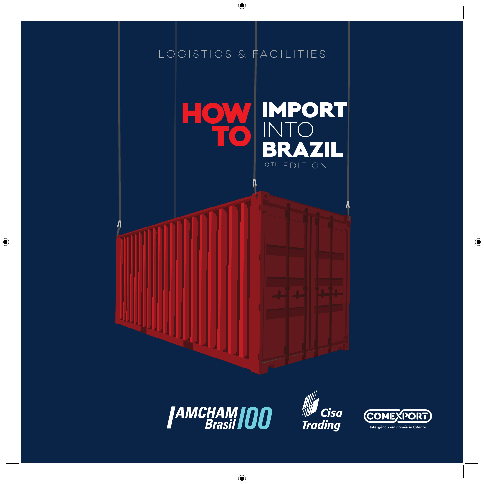







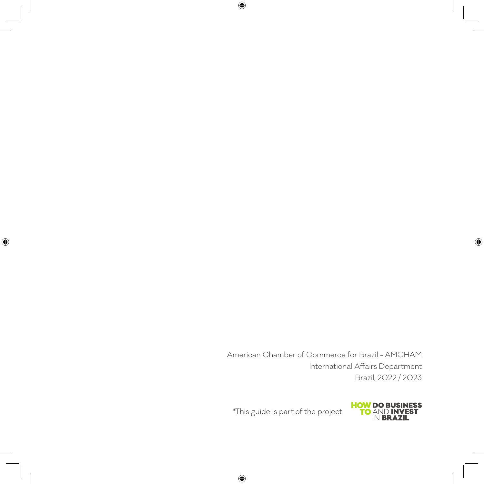American Chamber of Commerce for Brazil - AMCHAM International Affairs Department Brazil, 2022 / 2023



\*This guide is part of the project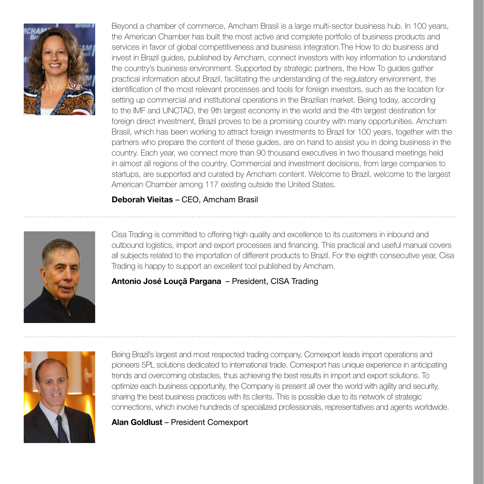

Beyond a chamber of commerce, Amcham Brasil is a large multi-sector business hub. In 100 years, the American Chamber has built the most active and complete portfolio of business products and services in favor of global competitiveness and business integration.The How to do business and invest in Brazil guides, published by Amcham, connect investors with key information to understand the country's business environment. Supported by strategic partners, the How To guides gather practical information about Brazil, facilitating the understanding of the regulatory environment, the identification of the most relevant processes and tools for foreign investors, such as the location for setting up commercial and institutional operations in the Brazilian market. Being today, according to the IMF and UNCTAD, the 9th largest economy in the world and the 4th largest destination for foreign direct investment, Brazil proves to be a promising country with many opportunities. Amcham Brasil, which has been working to attract foreign investments to Brazil for 100 years, together with the partners who prepare the content of these guides, are on hand to assist you in doing business in the country. Each year, we connect more than 90 thousand executives in two thousand meetings held in almost all regions of the country. Commercial and investment decisions, from large companies to startups, are supported and curated by Amcham content. Welcome to Brazil, welcome to the largest American Chamber among 117 existing outside the United States.

#### Deborah Vieitas – CEO, Amcham Brasil



Cisa Trading is committed to offering high quality and excellence to its customers in inbound and outbound logistics, import and export processes and financing. This practical and useful manual covers all subjects related to the importation of different products to Brazil. For the eighth consecutive year, Cisa Trading is happy to support an excellent tool published by Amcham.

#### Antonio José Louçã Pargana – President, CISA Trading



Being Brazil's largest and most respected trading company, Comexport leads import operations and pioneers 5PL solutions dedicated to international trade. Comexport has unique experience in anticipating trends and overcoming obstacles, thus achieving the best results in import and export solutions. To optimize each business opportunity, the Company is present all over the world with agility and security, sharing the best business practices with its clients. This is possible due to its network of strategic connections, which involve hundreds of specialized professionals, representatives and agents worldwide.

Alan Goldlust – President Comexport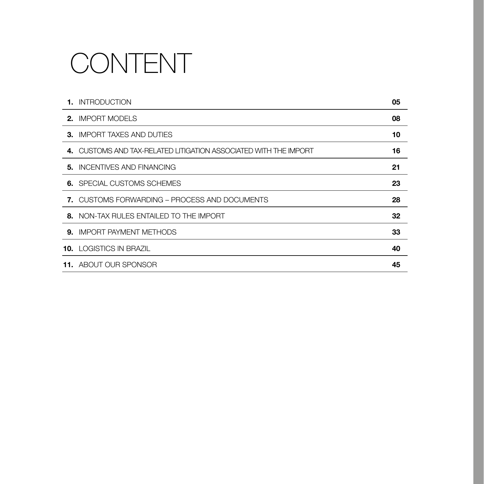## CONTENT

| <b>1. INTRODUCTION</b>                                           | 05 |
|------------------------------------------------------------------|----|
| <b>2. IMPORT MODELS</b>                                          | 08 |
| <b>3. IMPORT TAXES AND DUTIES</b>                                | 10 |
| 4. CUSTOMS AND TAX-RELATED LITIGATION ASSOCIATED WITH THE IMPORT | 16 |
| <b>5. INCENTIVES AND FINANCING</b>                               | 21 |
| <b>6.</b> SPECIAL CUSTOMS SCHEMES                                | 23 |
| <b>7.</b> CUSTOMS FORWARDING – PROCESS AND DOCUMENTS             | 28 |
| 8. NON-TAX RULES ENTAILED TO THE IMPORT                          | 32 |
| <b>9. IMPORT PAYMENT METHODS</b>                                 | 33 |
| <b>10. LOGISTICS IN BRAZIL</b>                                   | 40 |
| <b>11.</b> ABOUT OUR SPONSOR                                     | 45 |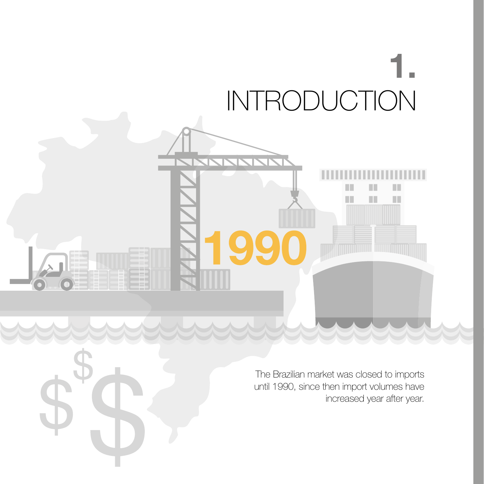# 1. INTRODUCTION

XXXXXX

The Brazilian market was closed to imports until 1990, since then import volumes have increased year after year.

 $\blacksquare$ 

 $\blacksquare$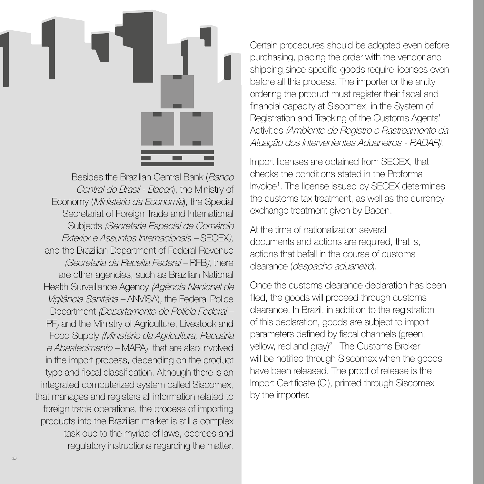

Besides the Brazilian Central Bank (Banco Central do Brasil - Bacen), the Ministry of Economy (Ministério da Economia), the Special Secretariat of Foreign Trade and International Subjects (Secretaria Especial de Comércio Exterior e Assuntos Internacionais – SECEX), and the Brazilian Department of Federal Revenue (Secretaria da Receita Federal – RFB), there are other agencies, such as Brazilian National Health Surveillance Agency (Agência Nacional de Vigilância Sanitária – ANVISA), the Federal Police Department (Departamento de Polícia Federal – PF) and the Ministry of Agriculture, Livestock and Food Supply (Ministério da Agricultura, Pecuária e Abastecimento – MAPA), that are also involved in the import process, depending on the product type and fiscal classification. Although there is an integrated computerized system called Siscomex, that manages and registers all information related to foreign trade operations, the process of importing products into the Brazilian market is still a complex task due to the myriad of laws, decrees and regulatory instructions regarding the matter.

Certain procedures should be adopted even before purchasing, placing the order with the vendor and shipping,since specific goods require licenses even before all this process. The importer or the entity ordering the product must register their fiscal and financial capacity at Siscomex, in the System of Registration and Tracking of the Customs Agents' Activities (Ambiente de Registro e Rastreamento da Atuação dos Intervenientes Aduaneiros - RADAR).

Import licenses are obtained from SECEX, that checks the conditions stated in the Proforma Invoice1 . The license issued by SECEX determines the customs tax treatment, as well as the currency exchange treatment given by Bacen.

At the time of nationalization several documents and actions are required, that is, actions that befall in the course of customs clearance (despacho aduaneiro).

Once the customs clearance declaration has been filed, the goods will proceed through customs clearance. In Brazil, in addition to the registration of this declaration, goods are subject to import parameters defined by fiscal channels (green, yellow, red and gray)<sup>2</sup>. The Customs Broker will be notified through Siscomex when the goods have been released. The proof of release is the Import Certificate (CI), printed through Siscomex by the importer.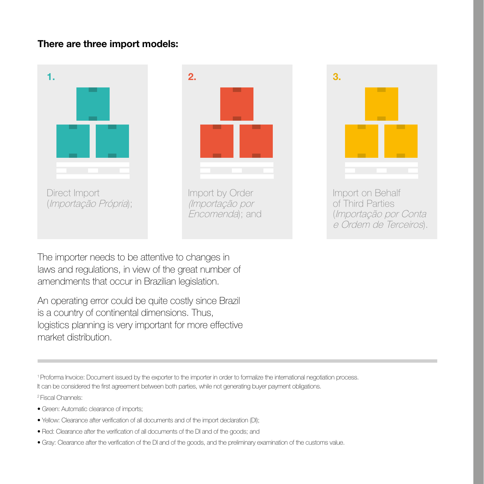#### There are three import models:



The importer needs to be attentive to changes in laws and regulations, in view of the great number of amendments that occur in Brazilian legislation.

An operating error could be quite costly since Brazil is a country of continental dimensions. Thus, logistics planning is very important for more effective market distribution.

1 Proforma Invoice: Document issued by the exporter to the importer in order to formalize the international negotiation process. It can be considered the first agreement between both parties, while not generating buyer payment obligations. 2 Fiscal Channels:

- Green: Automatic clearance of imports;
- Yellow: Clearance after verification of all documents and of the import declaration (DI);
- Red: Clearance after the verification of all documents of the DI and of the goods; and
- Gray: Clearance after the verification of the DI and of the goods, and the preliminary examination of the customs value.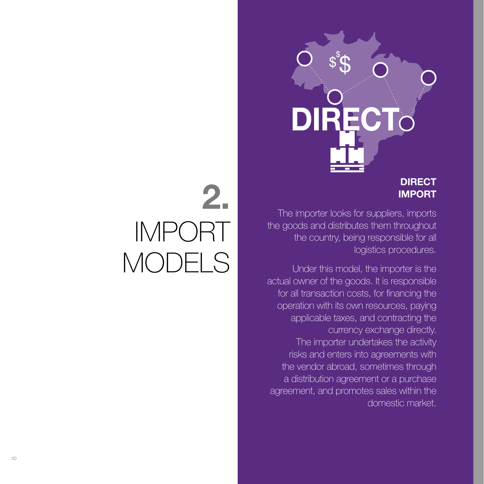

#### **DIRECT** IMPORT

The importer looks for suppliers, imports the goods and distributes them throughout the country, being responsible for all logistics procedures.

Under this model, the importer is the actual owner of the goods. It is responsible for all transaction costs, for financing the operation with its own resources, paying applicable taxes, and contracting the currency exchange directly. The importer undertakes the activity risks and enters into agreements with the vendor abroad, sometimes through a distribution agreement or a purchase agreement, and promotes sales within the domestic market.

## 2. IMPORT MODELS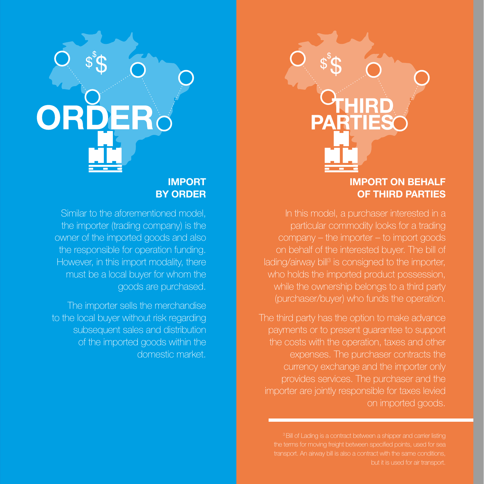#### IMPORT BY ORDER

Similar to the aforementioned model, the importer (trading company) is the owner of the imported goods and also the responsible for operation funding. However, in this import modality, there must be a local buyer for whom the goods are purchased.

The importer sells the merchandise to the local buyer without risk regarding subsequent sales and distribution of the imported goods within the domestic market.

# IMPORT ON BEHALF

OF THIRD PARTIES

In this model, a purchaser interested in a particular commodity looks for a trading company – the importer – to import goods on behalf of the interested buyer. The bill of lading/airway bill<sup>3</sup> is consigned to the importer, who holds the imported product possession. while the ownership belongs to a third party (purchaser/buyer) who funds the operation.

The third party has the option to make advance payments or to present guarantee to support the costs with the operation, taxes and other expenses. The purchaser contracts the currency exchange and the importer only provides services. The purchaser and the importer are jointly responsible for taxes levied on imported goods.

<sup>3</sup> Bill of Lading is a contract between a shipper and carrier listing transport. An airway bill is also a contract with the same conditions, but it is used for air transport.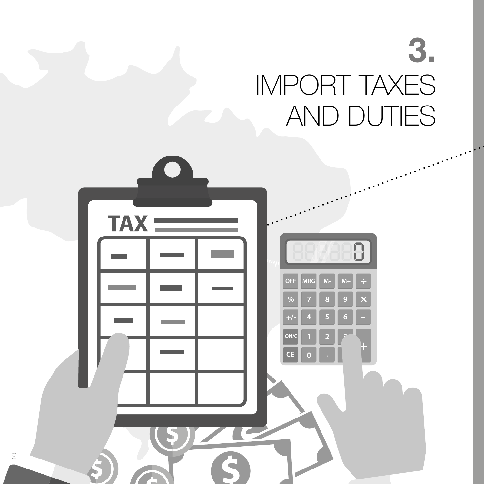## 3. IMPORT TAXES AND DUTIES



 $\circlearrowright$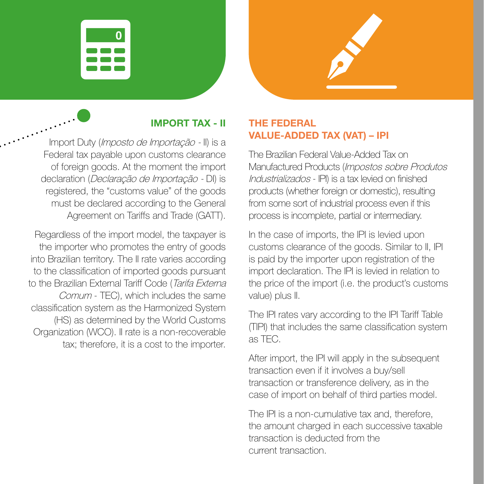



### IMPORT TAX - II

Import Duty (Imposto de Importação - II) is a Federal tax payable upon customs clearance of foreign goods. At the moment the import declaration (Declaração de Importação - DI) is registered, the "customs value" of the goods must be declared according to the General Agreement on Tariffs and Trade (GATT).

Regardless of the import model, the taxpayer is the importer who promotes the entry of goods into Brazilian territory. The II rate varies according to the classification of imported goods pursuant to the Brazilian External Tariff Code (Tarifa Externa Comum - TEC), which includes the same classification system as the Harmonized System (HS) as determined by the World Customs Organization (WCO). II rate is a non-recoverable tax; therefore, it is a cost to the importer.

#### THE FEDERAL VALUE-ADDED TAX (VAT) – IPI

The Brazilian Federal Value-Added Tax on Manufactured Products (Impostos sobre Produtos Industrializados - IPI) is a tax levied on finished products (whether foreign or domestic), resulting from some sort of industrial process even if this process is incomplete, partial or intermediary.

In the case of imports, the IPI is levied upon customs clearance of the goods. Similar to II, IPI is paid by the importer upon registration of the import declaration. The IPI is levied in relation to the price of the import (i.e. the product's customs value) plus II.

The IPI rates vary according to the IPI Tariff Table (TIPI) that includes the same classification system as TEC.

After import, the IPI will apply in the subsequent transaction even if it involves a buy/sell transaction or transference delivery, as in the case of import on behalf of third parties model.

The IPI is a non-cumulative tax and, therefore, the amount charged in each successive taxable transaction is deducted from the current transaction.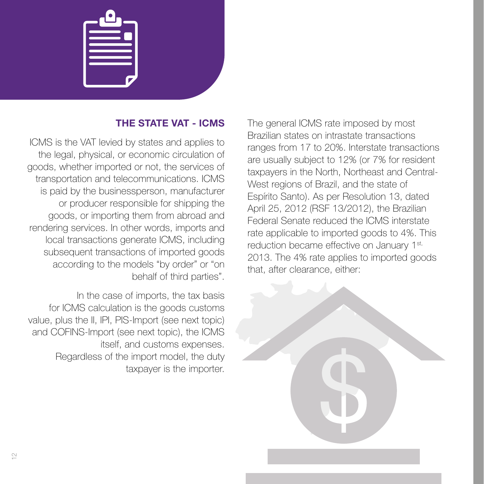#### THE STATE VAT - ICMS

ICMS is the VAT levied by states and applies to the legal, physical, or economic circulation of goods, whether imported or not, the services of transportation and telecommunications. ICMS is paid by the businessperson, manufacturer or producer responsible for shipping the goods, or importing them from abroad and rendering services. In other words, imports and local transactions generate ICMS, including subsequent transactions of imported goods according to the models "by order" or "on behalf of third parties".

In the case of imports, the tax basis for ICMS calculation is the goods customs value, plus the II, IPI, PIS-Import (see next topic) and COFINS-Import (see next topic), the ICMS itself, and customs expenses. Regardless of the import model, the duty taxpayer is the importer.

The general ICMS rate imposed by most Brazilian states on intrastate transactions ranges from 17 to 20%. Interstate transactions are usually subject to 12% (or 7% for resident taxpayers in the North, Northeast and Central-West regions of Brazil, and the state of Espírito Santo). As per Resolution 13, dated April 25, 2012 (RSF 13/2012), the Brazilian Federal Senate reduced the ICMS interstate rate applicable to imported goods to 4%. This reduction became effective on January 1<sup>st,</sup> 2013. The 4% rate applies to imported goods that, after clearance, either:

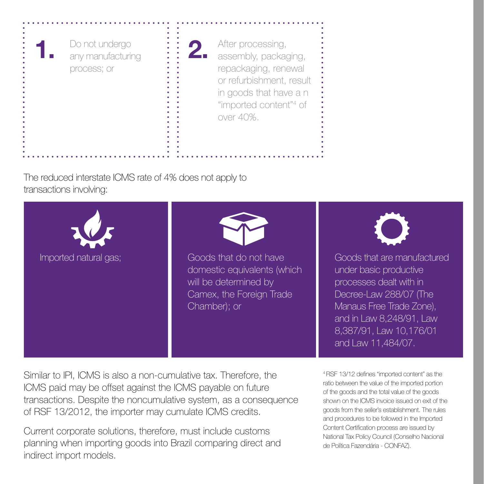

After processing, assembly, packaging, repackaging, renewal or refurbishment, result in goods that have a n "imported content"4 of over 40%.

The reduced interstate ICMS rate of 4% does not apply to transactions involving:



Similar to IPI, ICMS is also a non-cumulative tax. Therefore, the ICMS paid may be offset against the ICMS payable on future transactions. Despite the noncumulative system, as a consequence of RSF 13/2012, the importer may cumulate ICMS credits.

Current corporate solutions, therefore, must include customs planning when importing goods into Brazil comparing direct and indirect import models.

4 RSF 13/12 defines "imported content" as the ratio between the value of the imported portion of the goods and the total value of the goods shown on the ICMS invoice issued on exit of the goods from the seller's establishment. The rules and procedures to be followed in the Imported Content Certification process are issued by National Tax Policy Council (Conselho Nacional de Política Fazendária - CONFAZ).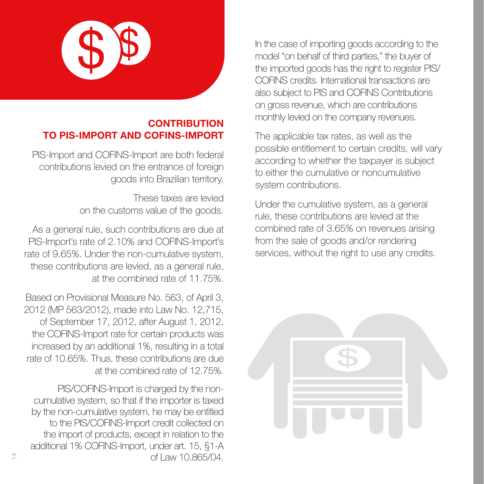

#### **CONTRIBUTION** TO PIS-IMPORT AND COFINS-IMPORT

PIS-Import and COFINS-Import are both federal contributions levied on the entrance of foreign goods into Brazilian territory.

> These taxes are levied on the customs value of the goods.

As a general rule, such contributions are due at PIS-Import's rate of 2.10% and COFINS-Import's rate of 9.65%. Under the non-cumulative system, these contributions are levied, as a general rule, at the combined rate of 11.75%.

Based on Provisional Measure No. 563, of April 3, 2012 (MP 563/2012), made into Law No. 12,715, of September 17, 2012, after August 1, 2012, the COFINS-Import rate for certain products was increased by an additional 1%, resulting in a total rate of 10.65%. Thus, these contributions are due at the combined rate of 12.75%.

PIS/COFINS-Import is charged by the noncumulative system, so that if the importer is taxed by the non-cumulative system, he may be entitled to the PIS/COFINS-Import credit collected on the import of products, except in relation to the additional 1% COFINS-Import, under art. 15, §1-A of Law 10.865/04.

In the case of importing goods according to the model "on behalf of third parties," the buyer of the imported goods has the right to register PIS/ COFINS credits. International transactions are also subject to PIS and COFINS Contributions on gross revenue, which are contributions monthly levied on the company revenues.

The applicable tax rates, as well as the possible entitlement to certain credits, will vary according to whether the taxpayer is subject to either the cumulative or noncumulative system contributions.

Under the cumulative system, as a general rule, these contributions are levied at the combined rate of 3.65% on revenues arising from the sale of goods and/or rendering services, without the right to use any credits.



 $\overline{4}$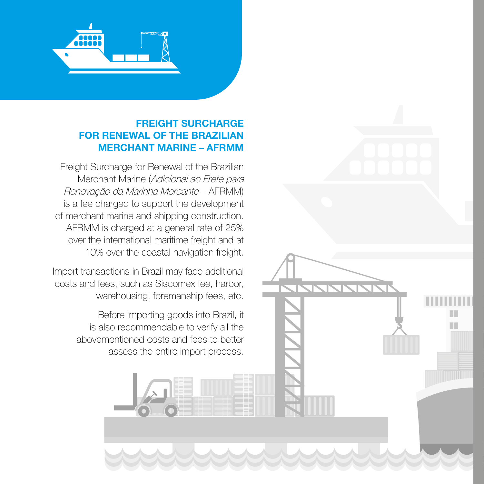

#### FREIGHT SURCHARGE FOR RENEWAL OF THE BRAZILIAN MERCHANT MARINE – AFRMM

Freight Surcharge for Renewal of the Brazilian Merchant Marine (Adicional ao Frete para Renovação da Marinha Mercante – AFRMM) is a fee charged to support the development of merchant marine and shipping construction. AFRMM is charged at a general rate of 25% over the international maritime freight and at 10% over the coastal navigation freight.

Import transactions in Brazil may face additional costs and fees, such as Siscomex fee, harbor, warehousing, foremanship fees, etc.

> Before importing goods into Brazil, it is also recommendable to verify all the abovementioned costs and fees to better assess the entire import process.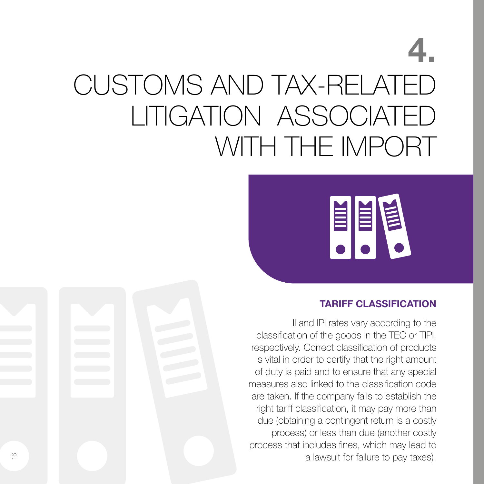## 4. CUSTOMS AND TAX-RELATED LITIGATION ASSOCIATED WITH THE IMPORT



#### TARIFF CLASSIFICATION

II and IPI rates vary according to the classification of the goods in the TEC or TIPI, respectively. Correct classification of products is vital in order to certify that the right amount of duty is paid and to ensure that any special measures also linked to the classification code are taken. If the company fails to establish the right tariff classification, it may pay more than due (obtaining a contingent return is a costly process) or less than due (another costly process that includes fines, which may lead to a lawsuit for failure to pay taxes).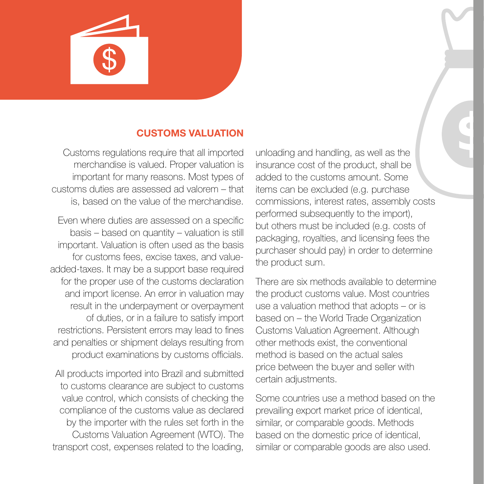

#### CUSTOMS VALUATION

Customs regulations require that all imported merchandise is valued. Proper valuation is important for many reasons. Most types of customs duties are assessed ad valorem – that is, based on the value of the merchandise.

Even where duties are assessed on a specific basis – based on quantity – valuation is still important. Valuation is often used as the basis for customs fees, excise taxes, and valueadded-taxes. It may be a support base required for the proper use of the customs declaration and import license. An error in valuation may result in the underpayment or overpayment of duties, or in a failure to satisfy import restrictions. Persistent errors may lead to fines and penalties or shipment delays resulting from product examinations by customs officials.

All products imported into Brazil and submitted to customs clearance are subject to customs value control, which consists of checking the compliance of the customs value as declared by the importer with the rules set forth in the Customs Valuation Agreement (WTO). The transport cost, expenses related to the loading,

unloading and handling, as well as the insurance cost of the product, shall be added to the customs amount. Some items can be excluded (e.g. purchase commissions, interest rates, assembly costs performed subsequently to the import), but others must be included (e.g. costs of packaging, royalties, and licensing fees the purchaser should pay) in order to determine the product sum.

There are six methods available to determine the product customs value. Most countries use a valuation method that adopts – or is based on – the World Trade Organization Customs Valuation Agreement. Although other methods exist, the conventional method is based on the actual sales price between the buyer and seller with certain adjustments.

Some countries use a method based on the prevailing export market price of identical, similar, or comparable goods. Methods based on the domestic price of identical, similar or comparable goods are also used.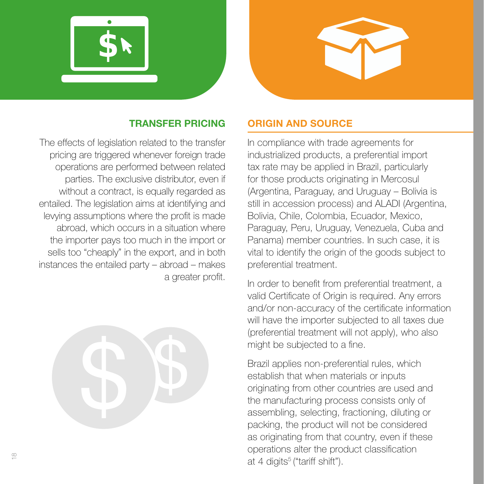



#### TRANSFER PRICING

The effects of legislation related to the transfer pricing are triggered whenever foreign trade operations are performed between related parties. The exclusive distributor, even if without a contract, is equally regarded as entailed. The legislation aims at identifying and levying assumptions where the profit is made abroad, which occurs in a situation where the importer pays too much in the import or sells too "cheaply" in the export, and in both instances the entailed party – abroad – makes a greater profit.



#### ORIGIN AND SOURCE

In compliance with trade agreements for industrialized products, a preferential import tax rate may be applied in Brazil, particularly for those products originating in Mercosul (Argentina, Paraguay, and Uruguay – Bolivia is still in accession process) and ALADI (Argentina, Bolivia, Chile, Colombia, Ecuador, Mexico, Paraguay, Peru, Uruguay, Venezuela, Cuba and Panama) member countries. In such case, it is vital to identify the origin of the goods subject to preferential treatment.

In order to benefit from preferential treatment, a valid Certificate of Origin is required. Any errors and/or non-accuracy of the certificate information will have the importer subjected to all taxes due (preferential treatment will not apply), who also might be subjected to a fine.

Brazil applies non-preferential rules, which establish that when materials or inputs originating from other countries are used and the manufacturing process consists only of assembling, selecting, fractioning, diluting or packing, the product will not be considered as originating from that country, even if these operations alter the product classification at 4 digits<sup>5</sup> ("tariff shift").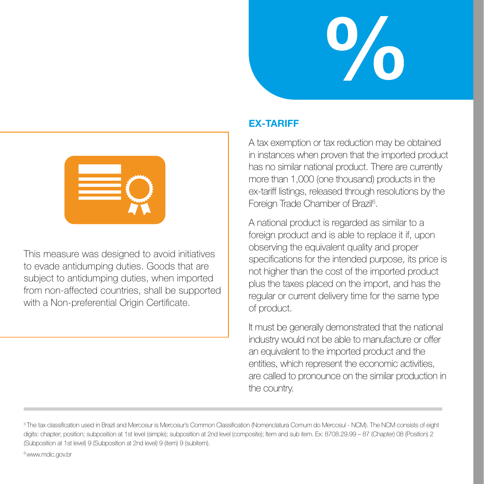



This measure was designed to avoid initiatives to evade antidumping duties. Goods that are subject to antidumping duties, when imported from non-affected countries, shall be supported with a Non-preferential Origin Certificate.

#### EX-TARIFF

A tax exemption or tax reduction may be obtained in instances when proven that the imported product has no similar national product. There are currently more than 1,000 (one thousand) products in the ex-tariff listings, released through resolutions by the Foreign Trade Chamber of Brazil<sup>6</sup>.

A national product is regarded as similar to a foreign product and is able to replace it if, upon observing the equivalent quality and proper specifications for the intended purpose, its price is not higher than the cost of the imported product plus the taxes placed on the import, and has the regular or current delivery time for the same type of product.

It must be generally demonstrated that the national industry would not be able to manufacture or offer an equivalent to the imported product and the entities, which represent the economic activities, are called to pronounce on the similar production in the country.

6 www.mdic.gov.br

<sup>5</sup> The tax classification used in Brazil and Mercosur is Mercosur's Common Classification (Nomenclatura Comum do Mercosul - NCM). The NCM consists of eight digits: chapter; position; subposition at 1st level (simple); subposition at 2nd level (composite); Item and sub item. Ex: 8708.29.99 – 87 (Chapter) 08 (Position) 2 (Subposition at 1st level) 9 (Subposition at 2nd level) 9 (item) 9 (subitem).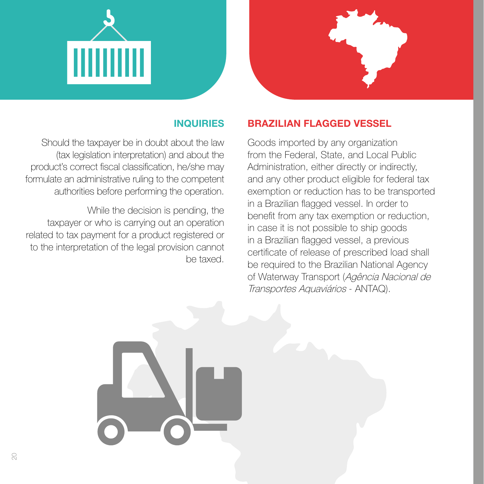



#### INQUIRIES

Should the taxpayer be in doubt about the law (tax legislation interpretation) and about the product's correct fiscal classification, he/she may formulate an administrative ruling to the competent authorities before performing the operation.

While the decision is pending, the taxpayer or who is carrying out an operation related to tax payment for a product registered or to the interpretation of the legal provision cannot be taxed.

#### BRAZILIAN FLAGGED VESSEL

Goods imported by any organization from the Federal, State, and Local Public Administration, either directly or indirectly, and any other product eligible for federal tax exemption or reduction has to be transported in a Brazilian flagged vessel. In order to benefit from any tax exemption or reduction, in case it is not possible to ship goods in a Brazilian flagged vessel, a previous certificate of release of prescribed load shall be required to the Brazilian National Agency of Waterway Transport (Agência Nacional de Transportes Aquaviários - ANTAQ).

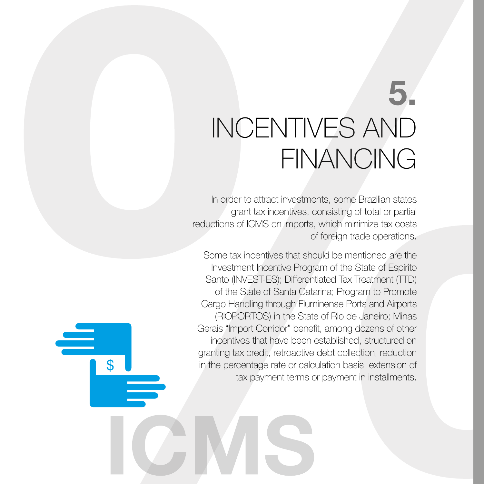## 5. INCENTIVES AND FINANCING

In order to attract investments, some Brazilian states grant tax incentives, consisting of total or partial reductions of ICMS on imports, which minimize tax costs of foreign trade operations.

Some tax incentives that should be mentioned are the Investment Incentive Program of the State of Espírito Santo (INVEST-ES); Differentiated Tax Treatment (TTD) of the State of Santa Catarina; Program to Promote Cargo Handling through Fluminense Ports and Airports (RIOPORTOS) in the State of Rio de Janeiro; Minas Gerais "Import Corridor" benefit, among dozens of other incentives that have been established, structured on granting tax credit, retroactive debt collection, reduction in the percentage rate or calculation basis, extension of tax payment terms or payment in installments.

 $\mathfrak{L}$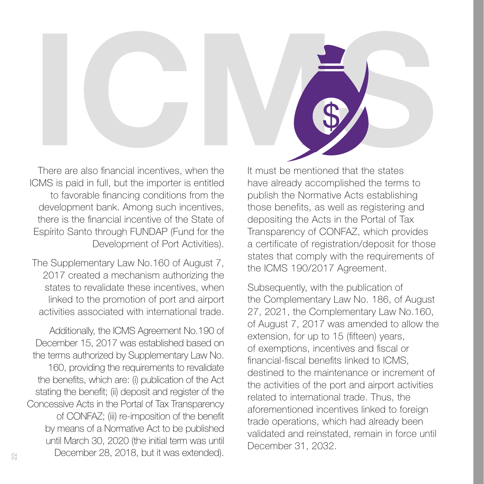There are also financial incentives, when the ICMS is paid in full, but the importer is entitled to favorable financing conditions from the development bank. Among such incentives, there is the financial incentive of the State of Espírito Santo through FUNDAP (Fund for the Development of Port Activities).

The Supplementary Law No.160 of August 7, 2017 created a mechanism authorizing the states to revalidate these incentives, when linked to the promotion of port and airport activities associated with international trade.

Additionally, the ICMS Agreement No.190 of December 15, 2017 was established based on the terms authorized by Supplementary Law No. 160, providing the requirements to revalidate the benefits, which are: (i) publication of the Act stating the benefit; (ii) deposit and register of the Concessive Acts in the Portal of Tax Transparency of CONFAZ; (iii) re-imposition of the benefit by means of a Normative Act to be published until March 30, 2020 (the initial term was until December 28, 2018, but it was extended).

It must be mentioned that the states have already accomplished the terms to publish the Normative Acts establishing those benefits, as well as registering and depositing the Acts in the Portal of Tax Transparency of CONFAZ, which provides a certificate of registration/deposit for those states that comply with the requirements of the ICMS 190/2017 Agreement.

Subsequently, with the publication of the Complementary Law No. 186, of August 27, 2021, the Complementary Law No.160, of August 7, 2017 was amended to allow the extension, for up to 15 (fifteen) years, of exemptions, incentives and fiscal or financial-fiscal benefits linked to ICMS, destined to the maintenance or increment of the activities of the port and airport activities related to international trade. Thus, the aforementioned incentives linked to foreign trade operations, which had already been validated and reinstated, remain in force until December 31, 2032.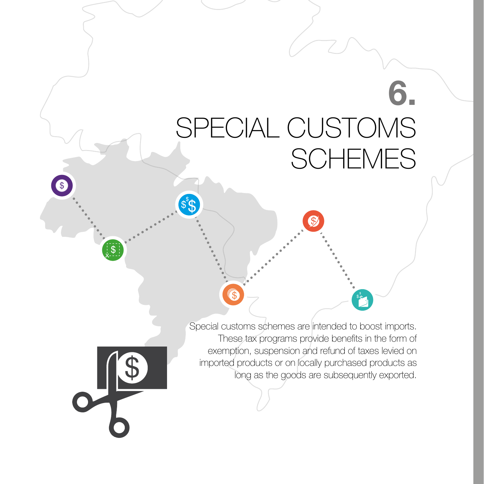## 6. SPECIAL CUSTOMS **SCHEMES**

 $\mathcal{S}$ 

 $\mathfrak{s}^{\mathfrak{s}}\mathfrak{S}$ 

6

[\$

 $\overline{\mathcal{S}}$ 

Special customs schemes are intended to boost imports. These tax programs provide benefits in the form of exemption, suspension and refund of taxes levied on imported products or on locally purchased products as long as the goods are subsequently exported.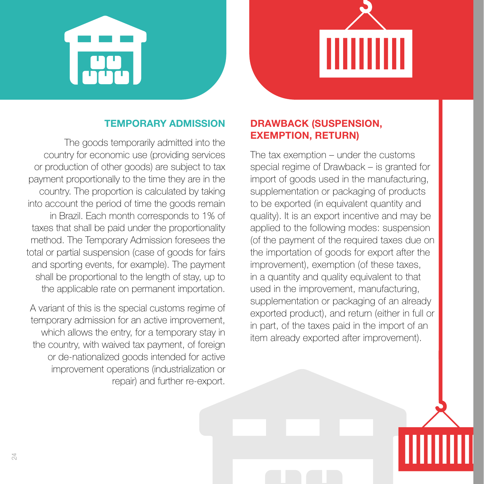

#### TEMPORARY ADMISSION

The goods temporarily admitted into the country for economic use (providing services or production of other goods) are subject to tax payment proportionally to the time they are in the country. The proportion is calculated by taking into account the period of time the goods remain in Brazil. Each month corresponds to 1% of taxes that shall be paid under the proportionality method. The Temporary Admission foresees the total or partial suspension (case of goods for fairs and sporting events, for example). The payment shall be proportional to the length of stay, up to the applicable rate on permanent importation.

A variant of this is the special customs regime of temporary admission for an active improvement, which allows the entry, for a temporary stay in the country, with waived tax payment, of foreign or de-nationalized goods intended for active improvement operations (industrialization or repair) and further re-export.

#### DRAWBACK (SUSPENSION, EXEMPTION, RETURN)

The tax exemption – under the customs special regime of Drawback – is granted for import of goods used in the manufacturing, supplementation or packaging of products to be exported (in equivalent quantity and quality). It is an export incentive and may be applied to the following modes: suspension (of the payment of the required taxes due on the importation of goods for export after the improvement), exemption (of these taxes, in a quantity and quality equivalent to that used in the improvement, manufacturing, supplementation or packaging of an already exported product), and return (either in full or in part, of the taxes paid in the import of an item already exported after improvement).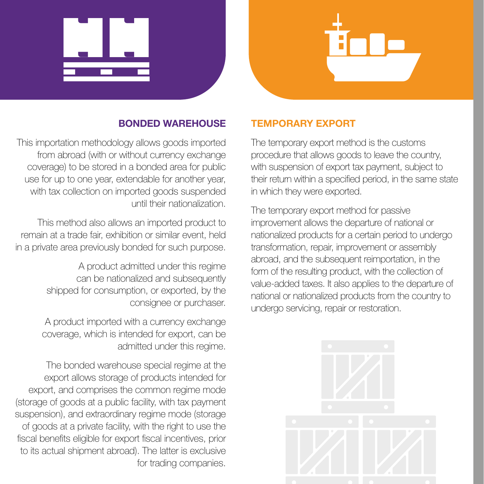

#### BONDED WAREHOUSE

This importation methodology allows goods imported from abroad (with or without currency exchange coverage) to be stored in a bonded area for public use for up to one year, extendable for another year, with tax collection on imported goods suspended until their nationalization.

This method also allows an imported product to remain at a trade fair, exhibition or similar event, held in a private area previously bonded for such purpose.

> A product admitted under this regime can be nationalized and subsequently shipped for consumption, or exported, by the consignee or purchaser.

A product imported with a currency exchange coverage, which is intended for export, can be admitted under this regime.

The bonded warehouse special regime at the export allows storage of products intended for export, and comprises the common regime mode (storage of goods at a public facility, with tax payment suspension), and extraordinary regime mode (storage of goods at a private facility, with the right to use the fiscal benefits eligible for export fiscal incentives, prior to its actual shipment abroad). The latter is exclusive for trading companies.

#### TEMPORARY EXPORT

The temporary export method is the customs procedure that allows goods to leave the country, with suspension of export tax payment, subject to their return within a specified period, in the same state in which they were exported.

The temporary export method for passive improvement allows the departure of national or nationalized products for a certain period to undergo transformation, repair, improvement or assembly abroad, and the subsequent reimportation, in the form of the resulting product, with the collection of value-added taxes. It also applies to the departure of national or nationalized products from the country to undergo servicing, repair or restoration.

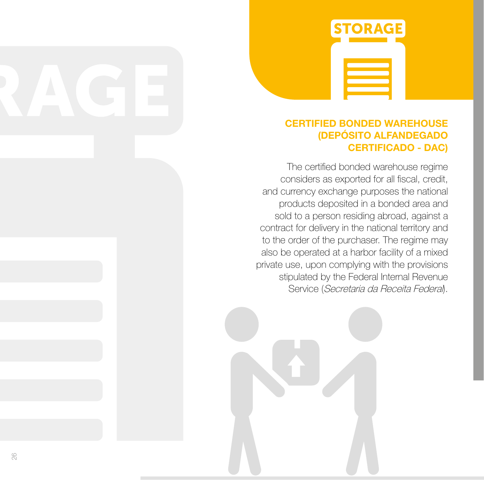

#### CERTIFIED BONDED WAREHOUSE (DEPÓSITO ALFANDEGADO CERTIFICADO - DAC)

The certified bonded warehouse regime considers as exported for all fiscal, credit, and currency exchange purposes the national products deposited in a bonded area and sold to a person residing abroad, against a contract for delivery in the national territory and to the order of the purchaser. The regime may also be operated at a harbor facility of a mixed private use, upon complying with the provisions stipulated by the Federal Internal Revenue Service (Secretaria da Receita Federal).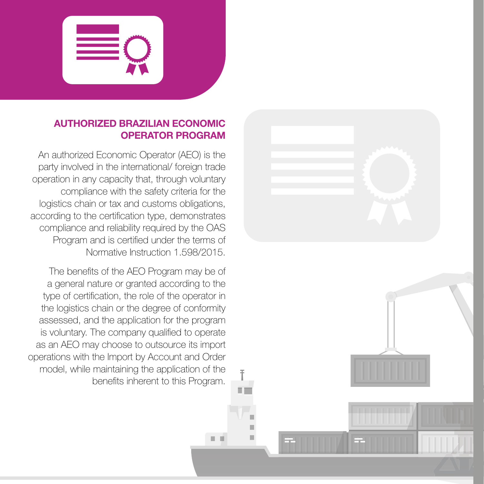

#### AUTHORIZED BRAZILIAN ECONOMIC OPERATOR PROGRAM

An authorized Economic Operator (AEO) is the party involved in the international/ foreign trade operation in any capacity that, through voluntary compliance with the safety criteria for the logistics chain or tax and customs obligations, according to the certification type, demonstrates compliance and reliability required by the OAS Program and is certified under the terms of Normative Instruction 1.598/2015.

The benefits of the AEO Program may be of a general nature or granted according to the type of certification, the role of the operator in the logistics chain or the degree of conformity assessed, and the application for the program is voluntary. The company qualified to operate as an AEO may choose to outsource its import operations with the Import by Account and Order model, while maintaining the application of the benefits inherent to this Program.

Ī œ

ш

 $\mathbb{R}^n$ 

 $-10$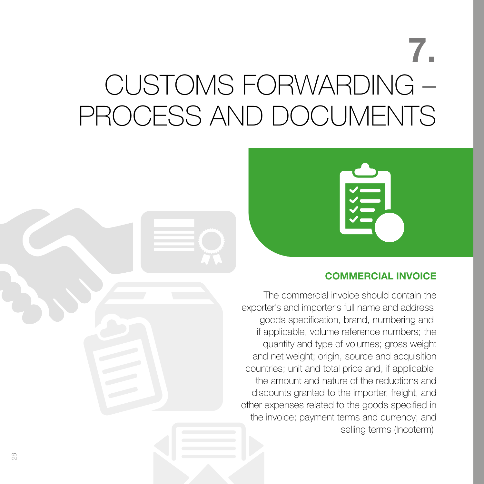## 7. CUSTOMS FORWARDING – PROCESS AND DOCUMENTS



#### COMMERCIAL INVOICE

The commercial invoice should contain the exporter's and importer's full name and address, goods specification, brand, numbering and, if applicable, volume reference numbers; the quantity and type of volumes; gross weight and net weight; origin, source and acquisition countries; unit and total price and, if applicable, the amount and nature of the reductions and discounts granted to the importer, freight, and other expenses related to the goods specified in the invoice; payment terms and currency; and selling terms (Incoterm).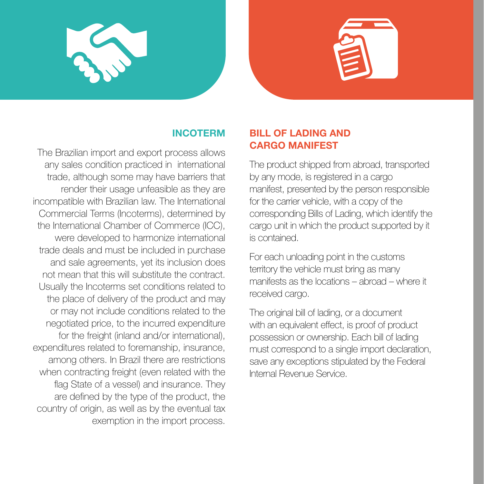



#### INCOTERM

The Brazilian import and export process allows any sales condition practiced in international trade, although some may have barriers that render their usage unfeasible as they are incompatible with Brazilian law. The International Commercial Terms (Incoterms), determined by the International Chamber of Commerce (ICC), were developed to harmonize international trade deals and must be included in purchase and sale agreements, yet its inclusion does not mean that this will substitute the contract. Usually the Incoterms set conditions related to the place of delivery of the product and may or may not include conditions related to the negotiated price, to the incurred expenditure for the freight (inland and/or international), expenditures related to foremanship, insurance, among others. In Brazil there are restrictions when contracting freight (even related with the flag State of a vessel) and insurance. They are defined by the type of the product, the country of origin, as well as by the eventual tax exemption in the import process.

#### BILL OF LADING AND CARGO MANIFEST

The product shipped from abroad, transported by any mode, is registered in a cargo manifest, presented by the person responsible for the carrier vehicle, with a copy of the corresponding Bills of Lading, which identify the cargo unit in which the product supported by it is contained.

For each unloading point in the customs territory the vehicle must bring as many manifests as the locations – abroad – where it received cargo.

The original bill of lading, or a document with an equivalent effect, is proof of product possession or ownership. Each bill of lading must correspond to a single import declaration, save any exceptions stipulated by the Federal Internal Revenue Service.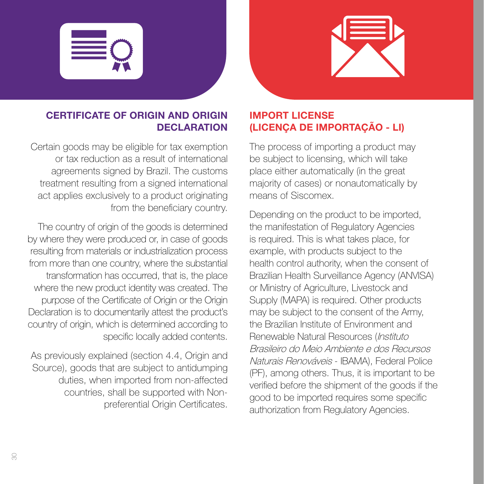



#### CERTIFICATE OF ORIGIN AND ORIGIN **DECLARATION**

Certain goods may be eligible for tax exemption or tax reduction as a result of international agreements signed by Brazil. The customs treatment resulting from a signed international act applies exclusively to a product originating from the beneficiary country.

The country of origin of the goods is determined by where they were produced or, in case of goods resulting from materials or industrialization process from more than one country, where the substantial transformation has occurred, that is, the place where the new product identity was created. The purpose of the Certificate of Origin or the Origin Declaration is to documentarily attest the product's country of origin, which is determined according to specific locally added contents.

As previously explained (section 4.4, Origin and Source), goods that are subject to antidumping duties, when imported from non-affected countries, shall be supported with Nonpreferential Origin Certificates.

## IMPORT LICENSE (LICENÇA DE IMPORTAÇÃO - LI)

The process of importing a product may be subject to licensing, which will take place either automatically (in the great majority of cases) or nonautomatically by means of Siscomex.

Depending on the product to be imported, the manifestation of Regulatory Agencies is required. This is what takes place, for example, with products subject to the health control authority, when the consent of Brazilian Health Surveillance Agency (ANVISA) or Ministry of Agriculture, Livestock and Supply (MAPA) is required. Other products may be subject to the consent of the Army, the Brazilian Institute of Environment and Renewable Natural Resources (Instituto Brasileiro do Meio Ambiente e dos Recursos Naturais Renováveis - IBAMA), Federal Police (PF), among others. Thus, it is important to be verified before the shipment of the goods if the good to be imported requires some specific authorization from Regulatory Agencies.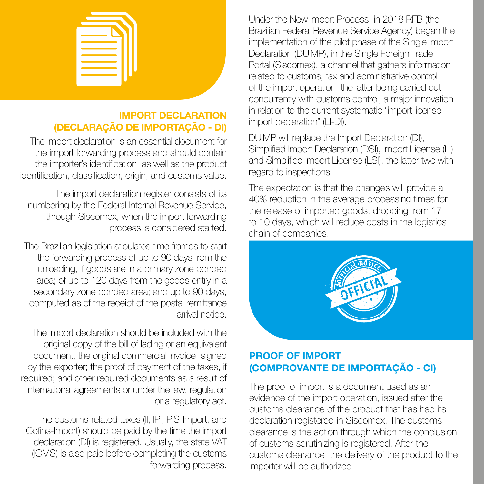

#### IMPORT DECLARATION (DECLARAÇÃO DE IMPORTAÇÃO - DI)

The import declaration is an essential document for the import forwarding process and should contain the importer's identification, as well as the product identification, classification, origin, and customs value.

The import declaration register consists of its numbering by the Federal Internal Revenue Service, through Siscomex, when the import forwarding process is considered started.

The Brazilian legislation stipulates time frames to start the forwarding process of up to 90 days from the unloading, if goods are in a primary zone bonded area; of up to 120 days from the goods entry in a secondary zone bonded area; and up to 90 days, computed as of the receipt of the postal remittance arrival notice.

The import declaration should be included with the original copy of the bill of lading or an equivalent document, the original commercial invoice, signed by the exporter; the proof of payment of the taxes, if required; and other required documents as a result of international agreements or under the law, regulation or a regulatory act.

The customs-related taxes (II, IPI, PIS-Import, and Cofins-Import) should be paid by the time the import declaration (DI) is registered. Usually, the state VAT (ICMS) is also paid before completing the customs forwarding process.

Under the New Import Process, in 2018 RFB (the Brazilian Federal Revenue Service Agency) began the implementation of the pilot phase of the Single Import Declaration (DUIMP), in the Single Foreign Trade Portal (Siscomex), a channel that gathers information related to customs, tax and administrative control of the import operation, the latter being carried out concurrently with customs control, a major innovation in relation to the current systematic "import license – import declaration" (LI-DI).

DUIMP will replace the Import Declaration (DI), Simplified Import Declaration (DSI), Import License (LI) and Simplified Import License (LSI), the latter two with regard to inspections.

The expectation is that the changes will provide a 40% reduction in the average processing times for the release of imported goods, dropping from 17 to 10 days, which will reduce costs in the logistics chain of companies.



#### PROOF OF IMPORT (COMPROVANTE DE IMPORTAÇÃO - CI)

The proof of import is a document used as an evidence of the import operation, issued after the customs clearance of the product that has had its declaration registered in Siscomex. The customs clearance is the action through which the conclusion of customs scrutinizing is registered. After the customs clearance, the delivery of the product to the importer will be authorized.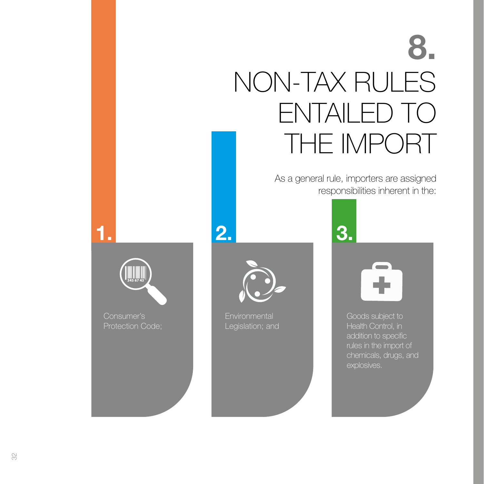## 8. NON-TAX RULES ENTAILED TO THE IMPORT

As a general rule, importers are assigned responsibilities inherent in the:





1. 2. 3.

**Environmental** Legislation; and

Goods subject to Health Control, in addition to specific rules in the import of chemicals, drugs, and explosives.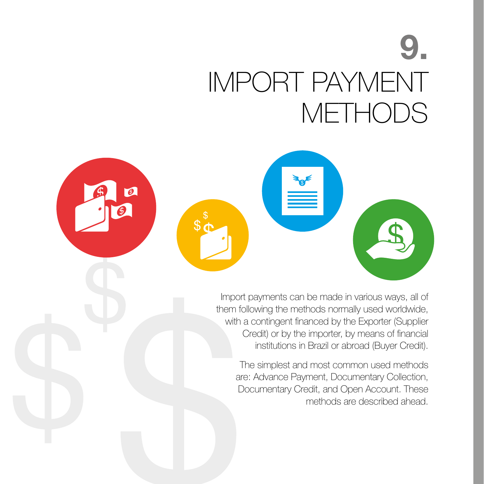## 9. IMPORT PAYMENT **METHODS**

 $\bigcirc$ 



The simplest and most common used methods are: Advance Payment, Documentary Collection, Documentary Credit, and Open Account. These methods are described ahead.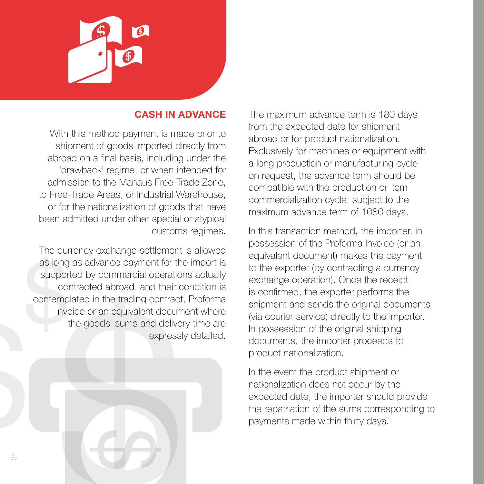

#### CASH IN ADVANCE

With this method payment is made prior to shipment of goods imported directly from abroad on a final basis, including under the 'drawback' regime, or when intended for admission to the Manaus Free-Trade Zone, to Free-Trade Areas, or Industrial Warehouse, or for the nationalization of goods that have been admitted under other special or atypical customs regimes.

The currency exchange settlement is allowed as long as advance payment for the import is supported by commercial operations actually contracted abroad, and their condition is contemplated in the trading contract, Proforma Invoice or an equivalent document where the goods' sums and delivery time are expressly detailed.

The maximum advance term is 180 days from the expected date for shipment abroad or for product nationalization. Exclusively for machines or equipment with a long production or manufacturing cycle on request, the advance term should be compatible with the production or item commercialization cycle, subject to the maximum advance term of 1080 days.

In this transaction method, the importer, in possession of the Proforma Invoice (or an equivalent document) makes the payment to the exporter (by contracting a currency exchange operation). Once the receipt is confirmed, the exporter performs the shipment and sends the original documents (via courier service) directly to the importer. In possession of the original shipping documents, the importer proceeds to product nationalization.

In the event the product shipment or nationalization does not occur by the expected date, the importer should provide the repatriation of the sums corresponding to payments made within thirty days.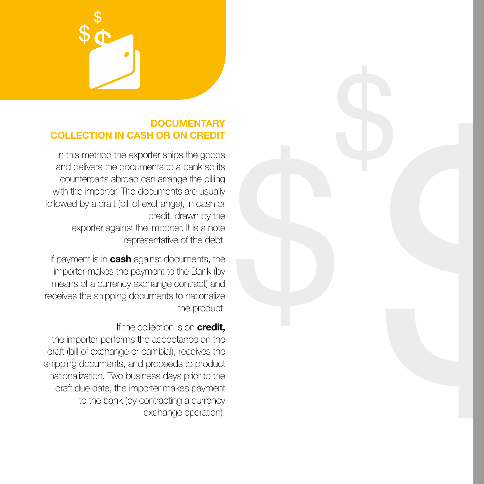#### **DOCUMENTARY** COLLECTION IN CASH OR ON CREDIT

In this method the exporter ships the goods and delivers the documents to a bank so its counterparts abroad can arrange the billing with the importer. The documents are usually followed by a draft (bill of exchange), in cash or credit, drawn by the exporter against the importer. It is a note representative of the debt.

If payment is in **cash** against documents, the importer makes the payment to the Bank (by means of a currency exchange contract) and receives the shipping documents to nationalize the product.

If the collection is on **credit,** the importer performs the acceptance on the draft (bill of exchange or cambial), receives the shipping documents, and proceeds to product nationalization. Two business days prior to the draft due date, the importer makes payment to the bank (by contracting a currency exchange operation).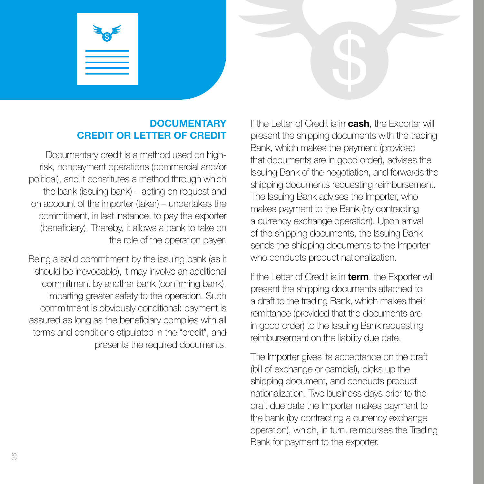#### **DOCUMENTARY** CREDIT OR LETTER OF CREDIT

Documentary credit is a method used on highrisk, nonpayment operations (commercial and/or political), and it constitutes a method through which the bank (issuing bank) – acting on request and on account of the importer (taker) – undertakes the commitment, in last instance, to pay the exporter (beneficiary). Thereby, it allows a bank to take on the role of the operation payer.

Being a solid commitment by the issuing bank (as it should be irrevocable), it may involve an additional commitment by another bank (confirming bank), imparting greater safety to the operation. Such commitment is obviously conditional: payment is assured as long as the beneficiary complies with all terms and conditions stipulated in the "credit", and presents the required documents. If the Letter of Credit is in **cash**, the Exporter will present the shipping documents with the trading Bank, which makes the payment (provided that documents are in good order), advises the Issuing Bank of the negotiation, and forwards the shipping documents requesting reimbursement. The Issuing Bank advises the Importer, who makes payment to the Bank (by contracting a currency exchange operation). Upon arrival of the shipping documents, the Issuing Bank sends the shipping documents to the Importer who conducts product nationalization.

If the Letter of Credit is in **term**, the Exporter will present the shipping documents attached to a draft to the trading Bank, which makes their remittance (provided that the documents are in good order) to the Issuing Bank requesting reimbursement on the liability due date.

The Importer gives its acceptance on the draft (bill of exchange or cambial), picks up the shipping document, and conducts product nationalization. Two business days prior to the draft due date the Importer makes payment to the bank (by contracting a currency exchange operation), which, in turn, reimburses the Trading Bank for payment to the exporter.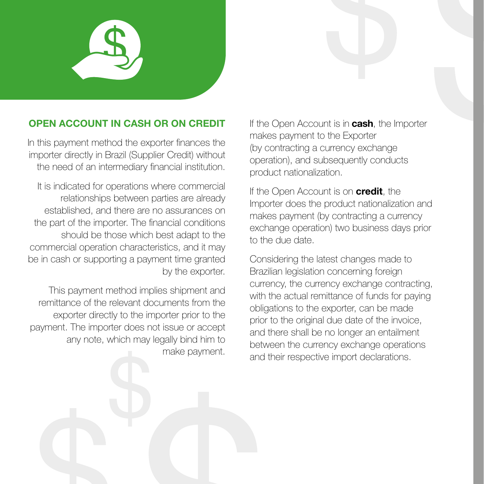

#### OPEN ACCOUNT IN CASH OR ON CREDIT

In this payment method the exporter finances the importer directly in Brazil (Supplier Credit) without the need of an intermediary financial institution.

It is indicated for operations where commercial relationships between parties are already established, and there are no assurances on the part of the importer. The financial conditions should be those which best adapt to the commercial operation characteristics, and it may be in cash or supporting a payment time granted by the exporter.

This payment method implies shipment and remittance of the relevant documents from the exporter directly to the importer prior to the payment. The importer does not issue or accept any note, which may legally bind him to make payment.

If the Open Account is in **cash**, the Importer makes payment to the Exporter (by contracting a currency exchange operation), and subsequently conducts product nationalization.

If the Open Account is on **credit**, the Importer does the product nationalization and makes payment (by contracting a currency exchange operation) two business days prior to the due date.

Considering the latest changes made to Brazilian legislation concerning foreign currency, the currency exchange contracting, with the actual remittance of funds for paying obligations to the exporter, can be made prior to the original due date of the invoice, and there shall be no longer an entailment between the currency exchange operations and their respective import declarations.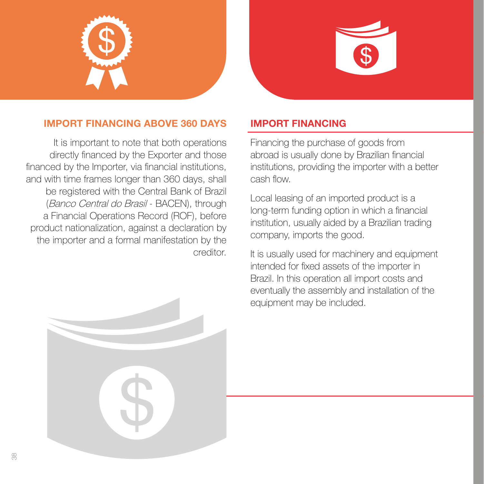



#### IMPORT FINANCING ABOVE 360 DAYS

It is important to note that both operations directly financed by the Exporter and those financed by the Importer, via financial institutions, and with time frames longer than 360 days, shall be registered with the Central Bank of Brazil (Banco Central do Brasil - BACEN), through a Financial Operations Record (ROF), before product nationalization, against a declaration by the importer and a formal manifestation by the creditor.

#### IMPORT FINANCING

Financing the purchase of goods from abroad is usually done by Brazilian financial institutions, providing the importer with a better cash flow.

Local leasing of an imported product is a long-term funding option in which a financial institution, usually aided by a Brazilian trading company, imports the good.

It is usually used for machinery and equipment intended for fixed assets of the importer in Brazil. In this operation all import costs and eventually the assembly and installation of the equipment may be included.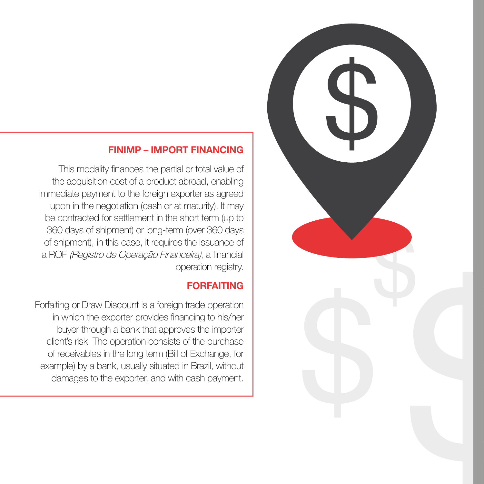

This modality finances the partial or total value of the acquisition cost of a product abroad, enabling immediate payment to the foreign exporter as agreed upon in the negotiation (cash or at maturity). It may be contracted for settlement in the short term (up to 360 days of shipment) or long-term (over 360 days of shipment), in this case, it requires the issuance of a ROF (Registro de Operação Financeira), a financial operation registry.

#### FORFAITING

Forfaiting or Draw Discount is a foreign trade operation in which the exporter provides financing to his/her buyer through a bank that approves the importer client's risk. The operation consists of the purchase of receivables in the long term (Bill of Exchange, for example) by a bank, usually situated in Brazil, without damages to the exporter, and with cash payment.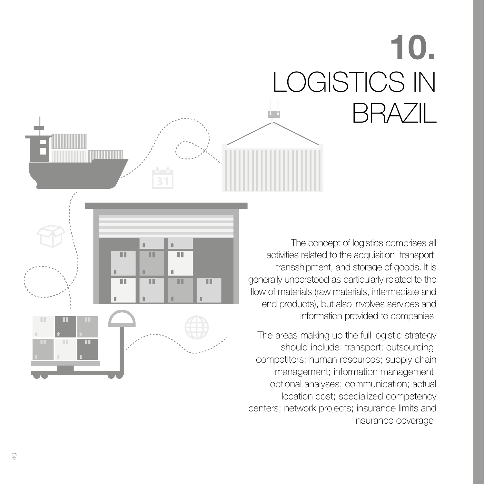# 10. LOGISTICS IN BRAZIL

The concept of logistics comprises all activities related to the acquisition, transport, transshipment, and storage of goods. It is generally understood as particularly related to the flow of materials (raw materials, intermediate and end products), but also involves services and information provided to companies.

The areas making up the full logistic strategy should include: transport; outsourcing; competitors; human resources; supply chain management; information management; optional analyses; communication; actual location cost; specialized competency centers; network projects; insurance limits and insurance coverage.

Ш

ш

ш

 $\blacksquare$ 

 $\mathbb{R}^n$ 

m

 $\hat{r}$ m ш

m

ш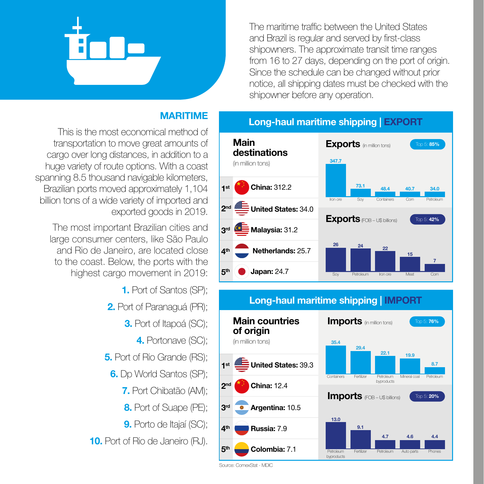

The maritime traffic between the United States and Brazil is regular and served by first-class shipowners. The approximate transit time ranges from 16 to 27 days, depending on the port of origin. Since the schedule can be changed without prior notice, all shipping dates must be checked with the shipowner before any operation.

#### MARITIME

This is the most economical method of transportation to move great amounts of cargo over long distances, in addition to a huge variety of route options. With a coast spanning 8.5 thousand navigable kilometers, Brazilian ports moved approximately 1,104 billion tons of a wide variety of imported and exported goods in 2019.

The most important Brazilian cities and large consumer centers, like São Paulo and Rio de Janeiro, are located close to the coast. Below, the ports with the highest cargo movement in 2019:

- 1. Port of Santos (SP);
- 2. Port of Paranaguá (PR);
	- **3.** Port of Itapoá (SC);
		- 4. Portonave (SC);
- 5. Port of Rio Grande (RS);
	- 6. Dp World Santos (SP);
		- 7. Port Chibatão (AM);
		- 8. Port of Suape (PE);
		- 9. Porto de Itajaí (SC);

10. Port of Rio de Janeiro (RJ).



#### Long-haul maritime shipping | IMPORT



Source: ComexStat - MDIC

#### Long-haul maritime shipping | EXPORT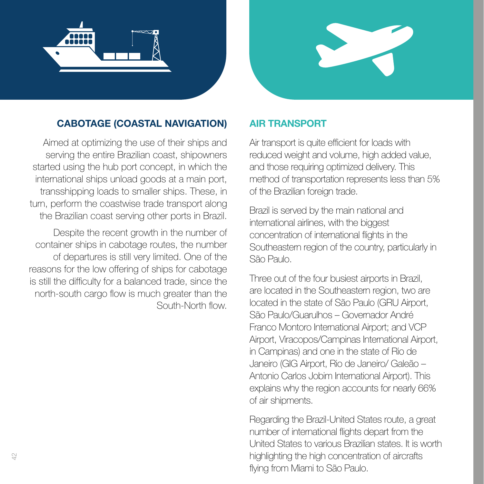



#### CABOTAGE (COASTAL NAVIGATION)

Aimed at optimizing the use of their ships and serving the entire Brazilian coast, shipowners started using the hub port concept, in which the international ships unload goods at a main port, transshipping loads to smaller ships. These, in turn, perform the coastwise trade transport along the Brazilian coast serving other ports in Brazil.

Despite the recent growth in the number of container ships in cabotage routes, the number of departures is still very limited. One of the reasons for the low offering of ships for cabotage is still the difficulty for a balanced trade, since the north-south cargo flow is much greater than the South-North flow.

#### AIR TRANSPORT

Air transport is quite efficient for loads with reduced weight and volume, high added value, and those requiring optimized delivery. This method of transportation represents less than 5% of the Brazilian foreign trade.

Brazil is served by the main national and international airlines, with the biggest concentration of international flights in the Southeastern region of the country, particularly in São Paulo.

Three out of the four busiest airports in Brazil, are located in the Southeastern region, two are located in the state of São Paulo (GRU Airport, São Paulo/Guarulhos – Governador André Franco Montoro International Airport; and VCP Airport, Viracopos/Campinas International Airport, in Campinas) and one in the state of Rio de Janeiro (GIG Airport, Rio de Janeiro/ Galeão – Antonio Carlos Jobim International Airport). This explains why the region accounts for nearly 66% of air shipments.

Regarding the Brazil-United States route, a great number of international flights depart from the United States to various Brazilian states. It is worth highlighting the high concentration of aircrafts flying from Miami to São Paulo.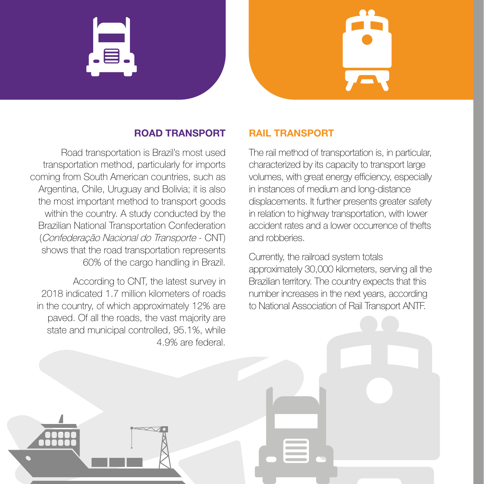

#### ROAD TRANSPORT

Road transportation is Brazil's most used transportation method, particularly for imports coming from South American countries, such as Argentina, Chile, Uruguay and Bolivia; it is also the most important method to transport goods within the country. A study conducted by the Brazilian National Transportation Confederation (Confederação Nacional do Transporte - CNT) shows that the road transportation represents 60% of the cargo handling in Brazil.

According to CNT, the latest survey in 2018 indicated 1.7 million kilometers of roads in the country, of which approximately 12% are paved. Of all the roads, the vast majority are state and municipal controlled, 95.1%, while 4.9% are federal.

#### RAIL TRANSPORT

The rail method of transportation is, in particular, characterized by its capacity to transport large volumes, with great energy efficiency, especially in instances of medium and long-distance displacements. It further presents greater safety in relation to highway transportation, with lower accident rates and a lower occurrence of thefts and robberies.

Currently, the railroad system totals approximately 30,000 kilometers, serving all the Brazilian territory. The country expects that this number increases in the next years, according to National Association of Rail Transport ANTF.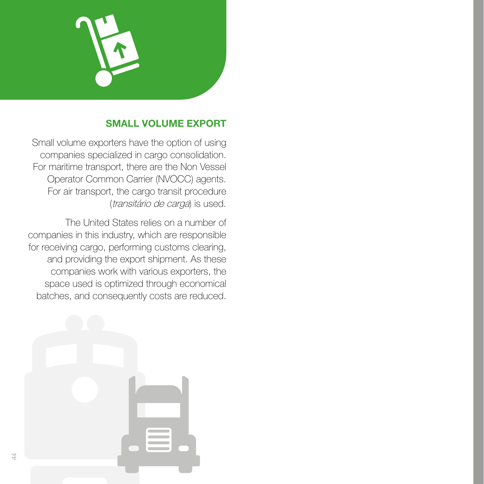

#### SMALL VOLUME EXPORT

Small volume exporters have the option of using companies specialized in cargo consolidation. For maritime transport, there are the Non Vessel Operator Common Carrier (NVOCC) agents. For air transport, the cargo transit procedure (transitário de carga) is used.

The United States relies on a number of companies in this industry, which are responsible for receiving cargo, performing customs clearing, and providing the export shipment. As these companies work with various exporters, the space used is optimized through economical batches, and consequently costs are reduced.

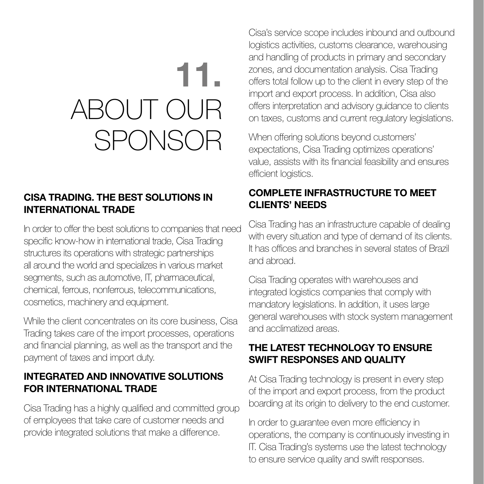## 11. ABOUT OUR SPONSOR

#### CISA TRADING. THE BEST SOLUTIONS IN INTERNATIONAL TRADE

In order to offer the best solutions to companies that need specific know-how in international trade, Cisa Trading structures its operations with strategic partnerships all around the world and specializes in various market segments, such as automotive, IT, pharmaceutical, chemical, ferrous, nonferrous, telecommunications, cosmetics, machinery and equipment.

While the client concentrates on its core business, Cisa Trading takes care of the import processes, operations and financial planning, as well as the transport and the payment of taxes and import duty.

#### INTEGRATED AND INNOVATIVE SOLUTIONS FOR INTERNATIONAL TRADE

Cisa Trading has a highly qualified and committed group of employees that take care of customer needs and provide integrated solutions that make a difference.

Cisa's service scope includes inbound and outbound logistics activities, customs clearance, warehousing and handling of products in primary and secondary zones, and documentation analysis. Cisa Trading offers total follow up to the client in every step of the import and export process. In addition, Cisa also offers interpretation and advisory guidance to clients on taxes, customs and current regulatory legislations.

When offering solutions beyond customers' expectations, Cisa Trading optimizes operations' value, assists with its financial feasibility and ensures efficient logistics.

#### COMPLETE INFRASTRUCTURE TO MEET CLIENTS' NEEDS

Cisa Trading has an infrastructure capable of dealing with every situation and type of demand of its clients. It has offices and branches in several states of Brazil and abroad.

Cisa Trading operates with warehouses and integrated logistics companies that comply with mandatory legislations. In addition, it uses large general warehouses with stock system management and acclimatized areas.

#### THE LATEST TECHNOLOGY TO ENSURE SWIFT RESPONSES AND QUALITY

At Cisa Trading technology is present in every step of the import and export process, from the product boarding at its origin to delivery to the end customer.

In order to guarantee even more efficiency in operations, the company is continuously investing in IT. Cisa Trading's systems use the latest technology to ensure service quality and swift responses.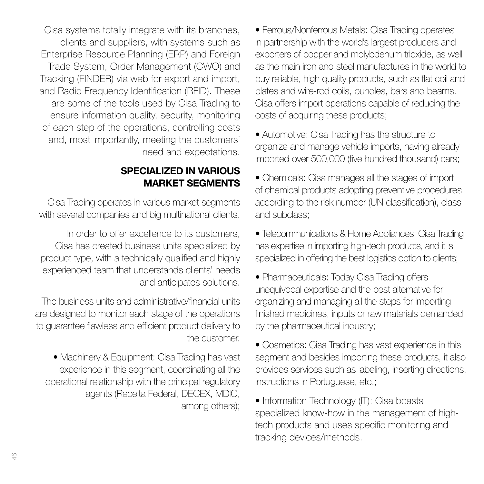Cisa systems totally integrate with its branches, clients and suppliers, with systems such as Enterprise Resource Planning (ERP) and Foreign Trade System, Order Management (CWO) and Tracking (FINDER) via web for export and import, and Radio Frequency Identification (RFID). These are some of the tools used by Cisa Trading to ensure information quality, security, monitoring of each step of the operations, controlling costs and, most importantly, meeting the customers' need and expectations.

#### SPECIALIZED IN VARIOUS MARKET SEGMENTS

Cisa Trading operates in various market segments with several companies and big multinational clients.

In order to offer excellence to its customers, Cisa has created business units specialized by product type, with a technically qualified and highly experienced team that understands clients' needs and anticipates solutions.

The business units and administrative/financial units are designed to monitor each stage of the operations to guarantee flawless and efficient product delivery to the customer.

• Machinery & Equipment: Cisa Trading has vast experience in this segment, coordinating all the operational relationship with the principal regulatory agents (Receita Federal, DECEX, MDIC, among others);

• Ferrous/Nonferrous Metals: Cisa Trading operates in partnership with the world's largest producers and exporters of copper and molybdenum trioxide, as well as the main iron and steel manufactures in the world to buy reliable, high quality products, such as flat coil and plates and wire-rod coils, bundles, bars and beams. Cisa offers import operations capable of reducing the costs of acquiring these products;

• Automotive: Cisa Trading has the structure to organize and manage vehicle imports, having already imported over 500,000 (five hundred thousand) cars;

• Chemicals: Cisa manages all the stages of import of chemical products adopting preventive procedures according to the risk number (UN classification), class and subclass;

• Telecommunications & Home Appliances: Cisa Trading has expertise in importing high-tech products, and it is specialized in offering the best logistics option to clients;

• Pharmaceuticals: Today Cisa Trading offers unequivocal expertise and the best alternative for organizing and managing all the steps for importing finished medicines, inputs or raw materials demanded by the pharmaceutical industry;

• Cosmetics: Cisa Trading has vast experience in this segment and besides importing these products, it also provides services such as labeling, inserting directions, instructions in Portuguese, etc.;

• Information Technology (IT): Cisa boasts specialized know-how in the management of hightech products and uses specific monitoring and tracking devices/methods.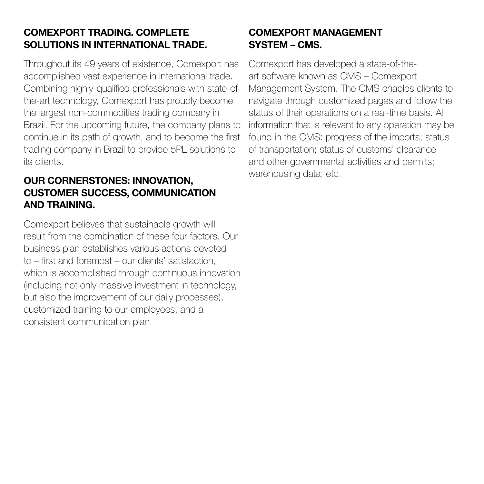#### COMEXPORT TRADING. COMPLETE SOLUTIONS IN INTERNATIONAL TRADE.

Throughout its 49 years of existence, Comexport has accomplished vast experience in international trade. Combining highly-qualified professionals with state-ofthe-art technology, Comexport has proudly become the largest non-commodities trading company in Brazil. For the upcoming future, the company plans to continue in its path of growth, and to become the first trading company in Brazil to provide 5PL solutions to its clients.

#### OUR CORNERSTONES: INNOVATION, CUSTOMER SUCCESS, COMMUNICATION AND TRAINING.

Comexport believes that sustainable growth will result from the combination of these four factors. Our business plan establishes various actions devoted to – first and foremost – our clients' satisfaction, which is accomplished through continuous innovation (including not only massive investment in technology, but also the improvement of our daily processes), customized training to our employees, and a consistent communication plan.

#### COMEXPORT MANAGEMENT SYSTEM – CMS.

Comexport has developed a state-of-theart software known as CMS – Comexport Management System. The CMS enables clients to navigate through customized pages and follow the status of their operations on a real-time basis. All information that is relevant to any operation may be found in the CMS: progress of the imports; status of transportation; status of customs' clearance and other governmental activities and permits; warehousing data; etc.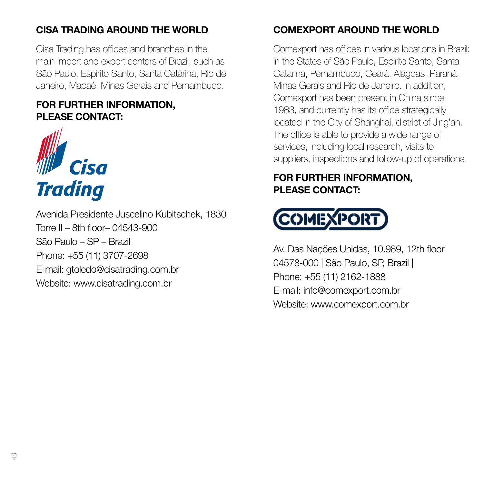#### CISA TRADING AROUND THE WORLD

Cisa Trading has offices and branches in the main import and export centers of Brazil, such as São Paulo, Espírito Santo, Santa Catarina, Rio de Janeiro, Macaé, Minas Gerais and Pernambuco.

#### FOR FURTHER INFORMATION, PLEASE CONTACT:



Avenida Presidente Juscelino Kubitschek, 1830 Torre II – 8th floor– 04543-900 São Paulo – SP – Brazil Phone: +55 (11) 3707-2698 E-mail: gtoledo@cisatrading.com.br Website: www.cisatrading.com.br

### COMEXPORT AROUND THE WORLD

Comexport has offices in various locations in Brazil: in the States of São Paulo, Espírito Santo, Santa Catarina, Pernambuco, Ceará, Alagoas, Paraná, Minas Gerais and Rio de Janeiro. In addition, Comexport has been present in China since 1983, and currently has its office strategically located in the City of Shanghai, district of Jing'an. The office is able to provide a wide range of services, including local research, visits to suppliers, inspections and follow-up of operations.

## FOR FURTHER INFORMATION, PLEASE CONTACT:



Av. Das Nações Unidas, 10.989, 12th floor 04578-000 | São Paulo, SP, Brazil | Phone: +55 (11) 2162-1888 E-mail: info@comexport.com.br Website: www.comexport.com.br